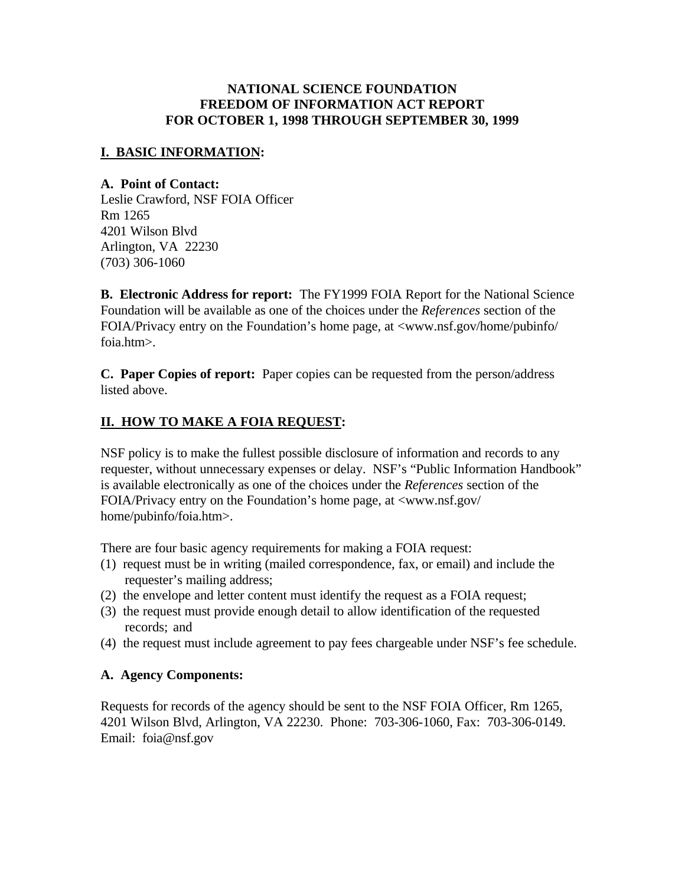### **NATIONAL SCIENCE FOUNDATION FREEDOM OF INFORMATION ACT REPORT FOR OCTOBER 1, 1998 THROUGH SEPTEMBER 30, 1999**

## **I. BASIC INFORMATION:**

#### **A. Point of Contact:**

Leslie Crawford, NSF FOIA Officer Rm 1265 4201 Wilson Blvd Arlington, VA 22230 (703) 306-1060

**B. Electronic Address for report:** The FY1999 FOIA Report for the National Science Foundation will be available as one of the choices under the *References* section of the FOIA/Privacy entry on the Foundation's home page, at <www.nsf.gov/home/pubinfo/ foia.htm>.

**C. Paper Copies of report:** Paper copies can be requested from the person/address listed above.

## **II. HOW TO MAKE A FOIA REQUEST:**

NSF policy is to make the fullest possible disclosure of information and records to any requester, without unnecessary expenses or delay. NSF's "Public Information Handbook" is available electronically as one of the choices under the *References* section of the FOIA/Privacy entry on the Foundation's home page, at <www.nsf.gov/ home/pubinfo/foia.htm>.

There are four basic agency requirements for making a FOIA request:

- (1) request must be in writing (mailed correspondence, fax, or email) and include the requester's mailing address;
- (2) the envelope and letter content must identify the request as a FOIA request;
- (3) the request must provide enough detail to allow identification of the requested records; and
- (4) the request must include agreement to pay fees chargeable under NSF's fee schedule.

## **A. Agency Components:**

Requests for records of the agency should be sent to the NSF FOIA Officer, Rm 1265, 4201 Wilson Blvd, Arlington, VA 22230. Phone: 703-306-1060, Fax: 703-306-0149. Email: foia@nsf.gov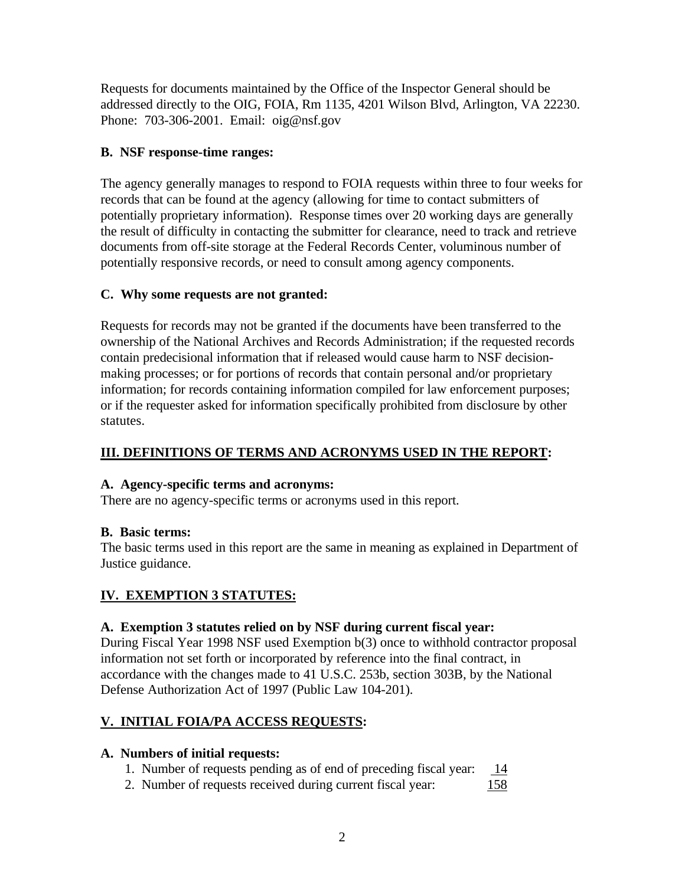Requests for documents maintained by the Office of the Inspector General should be addressed directly to the OIG, FOIA, Rm 1135, 4201 Wilson Blvd, Arlington, VA 22230. Phone: 703-306-2001. Email: oig@nsf.gov

## **B. NSF response-time ranges:**

The agency generally manages to respond to FOIA requests within three to four weeks for records that can be found at the agency (allowing for time to contact submitters of potentially proprietary information). Response times over 20 working days are generally the result of difficulty in contacting the submitter for clearance, need to track and retrieve documents from off-site storage at the Federal Records Center, voluminous number of potentially responsive records, or need to consult among agency components.

## **C. Why some requests are not granted:**

Requests for records may not be granted if the documents have been transferred to the ownership of the National Archives and Records Administration; if the requested records contain predecisional information that if released would cause harm to NSF decisionmaking processes; or for portions of records that contain personal and/or proprietary information; for records containing information compiled for law enforcement purposes; or if the requester asked for information specifically prohibited from disclosure by other statutes.

## **III. DEFINITIONS OF TERMS AND ACRONYMS USED IN THE REPORT:**

## **A. Agency-specific terms and acronyms:**

There are no agency-specific terms or acronyms used in this report.

## **B. Basic terms:**

The basic terms used in this report are the same in meaning as explained in Department of Justice guidance.

## **IV. EXEMPTION 3 STATUTES:**

## **A. Exemption 3 statutes relied on by NSF during current fiscal year:**

During Fiscal Year 1998 NSF used Exemption b(3) once to withhold contractor proposal information not set forth or incorporated by reference into the final contract, in accordance with the changes made to 41 U.S.C. 253b, section 303B, by the National Defense Authorization Act of 1997 (Public Law 104-201).

# **V. INITIAL FOIA/PA ACCESS REQUESTS:**

## **A. Numbers of initial requests:**

- 1. Number of requests pending as of end of preceding fiscal year: 14
- 2. Number of requests received during current fiscal year: 158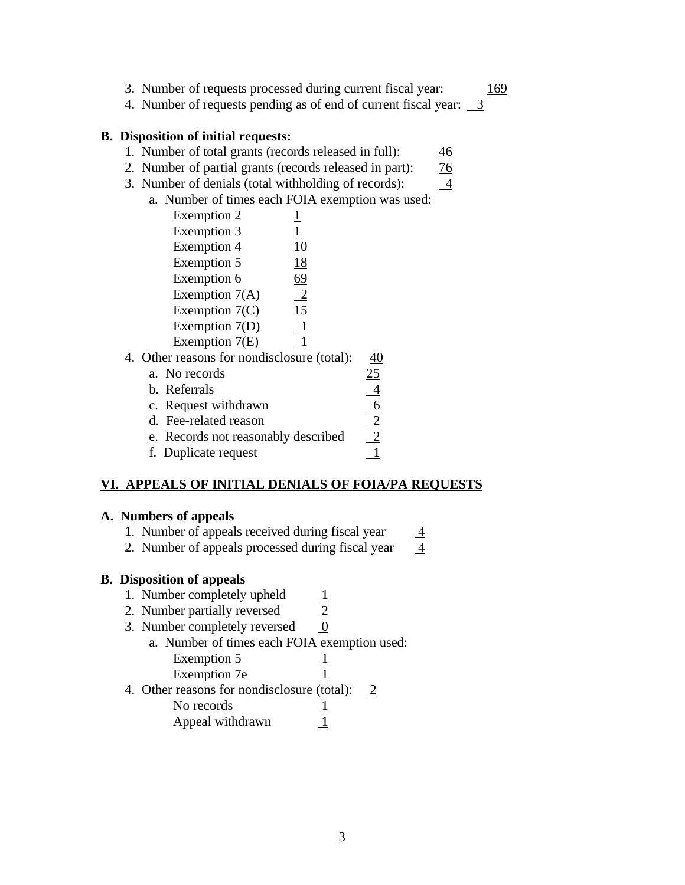- 3. Number of requests processed during current fiscal year: 169
- 4. Number of requests pending as of end of current fiscal year:  $\frac{3}{2}$

#### **B. Disposition of initial requests:**

- 1. Number of total grants (records released in full): 46
- 2. Number of partial grants (records released in part): 76
- 3. Number of denials (total withholding of records):  $\frac{4}{3}$
- a. Number of times each FOIA exemption was used:

| Exemption 2                               |                |
|-------------------------------------------|----------------|
| <b>Exemption 3</b>                        | $\mathbf{1}$   |
| <b>Exemption 4</b>                        | 10             |
| Exemption 5                               | 18             |
| Exemption 6                               | 69             |
| Exemption $7(A)$                          | $\overline{2}$ |
| Exemption $7(C)$                          | 15             |
| Exemption 7(D)                            | 1              |
| Exemption 7(E)                            |                |
| $\alpha$ receive for nondical serve $(t)$ |                |

- 4. Other reasons for nondisclosure (total): 40
	- a. No records  $\frac{25}{25}$ b. Referrals<br>
	c. Request withdrawn<br>
	d. Fee-related reason<br>
	e. Records not reasonably described<br>
	f. Duplicate request<br>
	<u>1</u>
	- c. Request withdrawn
	- d. Fee-related reason
	- e. Records not reasonably described
	- f. Duplicate request

## **VI. APPEALS OF INITIAL DENIALS OF FOIA/PA REQUESTS**

#### **A. Numbers of appeals**

- 1. Number of appeals received during fiscal year  $\frac{4}{4}$
- 2. Number of appeals processed during fiscal year  $\frac{4}{5}$

## **B. Disposition of appeals**

- 
- 1. Number completely upheld  $\frac{1}{2}$ <br>2. Number partially reversed  $\frac{2}{2}$ 2. Number partially reversed
- 3. Number completely reversed  $\qquad 0$ 
	- a. Number of times each FOIA exemption used: Exemption 5 1
		- Exemption 7e 1
- 4. Other reasons for nondisclosure (total):  $2 \overline{2}$

No records 
$$
\underline{1}
$$

Appeal withdrawn  $\frac{1}{1}$